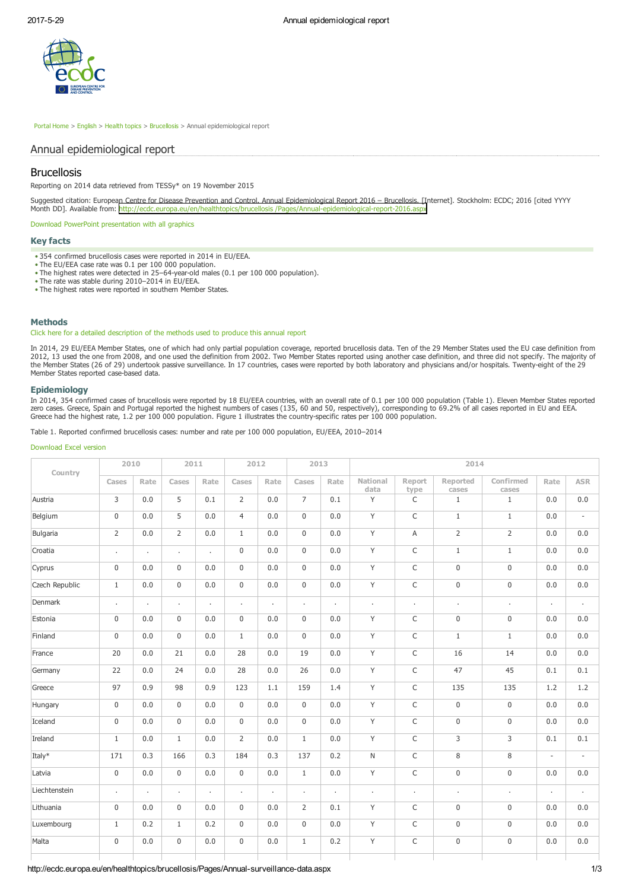

 [Portal Home](http://ecdc.europa.eu/en/Pages/home.aspx) > [English](http://ecdc.europa.eu/en/Pages/home.aspx) > [Health topics](http://ecdc.europa.eu/en/healthtopics/Pages/AZIndex.aspx) > [Brucellosis](http://ecdc.europa.eu/en/healthtopics/brucellosis/Pages/index.aspx) > Annual epidemiological report

# Annual epidemiological report

# Brucellosis

Reporting on 2014 data retrieved from TESSy\* on 19 November 2015

Suggested citation: European Centre for Disease Prevention and Control. Annual Epidemiological Report 2016 – Brucellosis. [Internet]. Stockholm: ECDC; 2016 [cited YYYY Month DD]. Available from: http://ecdc.europa.eu/en/healthtopics/brucellosis /Pages/Annual-epidemiological-report-2016.aspx

[Download PowerPoint presentation with all graphics](http://ecdc.europa.eu/en/healthtopics/brucellosis/Documents/aer2016/AER-brucellosis_all_graphics.pptx)

## Key facts

- 354 confirmed brucellosis cases were reported in 2014 in EU/EEA. The EU/EEA case rate was 0.1 per 100 000 population.
- 
- The highest rates were detected in 25-64-year-old males (0.1 per 100 000 population).
- The rate was stable during 2010–2014 in EU/EEA.
- The highest rates were reported in southern Member States.

## **Methods**

## [Click here for a detailed description of the methods used to produce this annual report](http://ecdc.europa.eu/en/publications/surveillance_reports/annual_epidemiological_report/Pages/Methods.aspx)

In 2014, 29 EU/EEA Member States, one of which had only partial population coverage, reported brucellosis data. Ten of the 29 Member States used the EU case definition from<br>2012, 13 used the one from 2008, and one used the the Member States (26 of 29) undertook passive surveillance. In 17 countries, cases were reported by both laboratory and physicians and/or hospitals. Twentyeight of the 29 Member States reported case-based data.

## Epidemiology

In 2014, 354 confirmed cases of brucellosis were reported by 18 EU/EEA countries, with an overall rate of 0.1 per 100 000 population (Table 1). Eleven Member States reported<br>zero cases. Greece, Spain and Portugal reported

Table 1. Reported confirmed brucellosis cases: number and rate per 100 000 population, EU/EEA, 2010–2014

## [Download Excel version](http://ecdc.europa.eu/en/healthtopics/brucellosis/Documents/aer2016/Table%201.%20Brucellosis%20cases,%20number%20and%20rate%20per%20100%20000%20population,%20EU-EEA,%202010%E2%80%932014.xlsx)

| Country        | 2010           |         | 2011           |         | 2012           |              | 2013           |         |                  |                | 2014              |                     |                          |                          |
|----------------|----------------|---------|----------------|---------|----------------|--------------|----------------|---------|------------------|----------------|-------------------|---------------------|--------------------------|--------------------------|
|                | Cases          | Rate    | Cases          | Rate    | Cases          | Rate         | Cases          | Rate    | National<br>data | Report<br>type | Reported<br>cases | Confirmed<br>cases  | Rate                     | <b>ASR</b>               |
| Austria        | 3              | 0.0     | 5              | 0.1     | $\overline{2}$ | 0.0          | $\overline{7}$ | 0.1     | Y                | C              | $\mathbf{1}$      | $\mathbf{1}$        | 0.0                      | 0.0                      |
| Belgium        | $\mathbf 0$    | 0.0     | 5              | 0.0     | $\overline{4}$ | 0.0          | $\mathbf 0$    | 0.0     | Y                | C              | $\mathbf{1}$      | $\mathbf{1}$        | 0.0                      | $\overline{\phantom{a}}$ |
| Bulgaria       | $\overline{2}$ | 0.0     | $\overline{2}$ | 0.0     | $\mathbf{1}$   | 0.0          | $\mathbf 0$    | 0.0     | Y                | Α              | $\overline{2}$    | $\overline{2}$      | 0.0                      | 0.0                      |
| Croatia        | $\cdot$        | $\cdot$ | ä,             | ÷       | $\mathbf 0$    | 0.0          | $\mathbf 0$    | 0.0     | Y                | C              | $\,1\,$           | $1\,$               | 0.0                      | 0.0                      |
| Cyprus         | $\mathbf 0$    | 0.0     | $\mathbf 0$    | 0.0     | $\mathbf 0$    | 0.0          | $\mathsf 0$    | 0.0     | Y                | C              | $\mathsf 0$       | $\mathsf{O}\xspace$ | 0.0                      | 0.0                      |
| Czech Republic | $\mathbf{1}$   | 0.0     | $\mathbf 0$    | 0.0     | $\mathbf 0$    | 0.0          | $\mathbf 0$    | 0.0     | Y                | C              | $\mathbf 0$       | $\mathsf{O}\xspace$ | 0.0                      | 0.0                      |
| Denmark        | $\cdot$        | $\cdot$ | ä,             | ä,      |                | ٠            | ä,             | $\cdot$ | ×,               | $\blacksquare$ | ×,                | i.                  | $\cdot$                  | $\cdot$                  |
| Estonia        | $\mathbf 0$    | 0.0     | $\mathbf 0$    | 0.0     | $\mathbf 0$    | 0.0          | $\mathbf 0$    | 0.0     | Y                | C              | $\mathbf 0$       | $\mathsf 0$         | 0.0                      | 0.0                      |
| Finland        | $\mathsf 0$    | 0.0     | $\mathbf 0$    | 0.0     | $\mathbf{1}$   | 0.0          | $\mathbf 0$    | 0.0     | Y                | C              | $\mathbf{1}$      | $\mathbf{1}$        | 0.0                      | 0.0                      |
| France         | 20             | 0.0     | 21             | 0.0     | 28             | 0.0          | 19             | 0.0     | Y                | C              | 16                | 14                  | 0.0                      | 0.0                      |
| Germany        | 22             | 0.0     | 24             | 0.0     | 28             | 0.0          | 26             | 0.0     | Y                | C              | 47                | 45                  | 0.1                      | 0.1                      |
| Greece         | 97             | 0.9     | 98             | 0.9     | 123            | 1.1          | 159            | 1.4     | Y                | C              | 135               | 135                 | 1.2                      | 1.2                      |
| Hungary        | $\mathbf 0$    | 0.0     | $\Omega$       | 0.0     | $\Omega$       | 0.0          | $\Omega$       | 0.0     | Y                | C              | $\mathsf 0$       | $\mathbf 0$         | 0.0                      | 0.0                      |
| Iceland        | $\mathbf 0$    | 0.0     | $\Omega$       | 0.0     | $\mathbf 0$    | 0.0          | $\mathbf 0$    | 0.0     | Y                | C              | $\mathsf{O}$      | $\mathbf 0$         | 0.0                      | 0.0                      |
| Ireland        | $\mathbf{1}$   | 0.0     | $\mathbf{1}$   | 0.0     | $\overline{2}$ | 0.0          | $\mathbf{1}$   | 0.0     | Y                | C              | 3                 | 3                   | 0.1                      | 0.1                      |
| Italy*         | 171            | 0.3     | 166            | 0.3     | 184            | 0.3          | 137            | 0.2     | N                | $\mathsf C$    | $\,8\,$           | 8                   | $\overline{\phantom{a}}$ | $\overline{\phantom{a}}$ |
| Latvia         | $\mathbf 0$    | 0.0     | $\mathbf 0$    | 0.0     | $\mathsf 0$    | $0.0\,$      | $\mathbf{1}$   | $0.0\,$ | Y                | C              | $\mathsf{O}$      | $\mathbf 0$         | 0.0                      | 0.0                      |
| Liechtenstein  | $\epsilon$     | $\cdot$ | ä,             | $\cdot$ | $\cdot$        | $\mathbf{r}$ | ä,             | $\cdot$ | ä,               | $\blacksquare$ | $\cdot$           | ×.                  | $\cdot$                  | $\cdot$                  |
| Lithuania      | $\mathbf 0$    | 0.0     | $\mathbf 0$    | 0.0     | $\mathbf 0$    | 0.0          | $\overline{2}$ | 0.1     | Y                | C              | $\mathsf 0$       | $\mathbf 0$         | 0.0                      | 0.0                      |
| Luxembourg     | $\mathbf{1}$   | 0.2     | $\mathbf{1}$   | 0.2     | $\mathbf 0$    | 0.0          | $\mathbf 0$    | 0.0     | Y                | C              | $\mathsf 0$       | $\mathbf 0$         | 0.0                      | 0.0                      |
| Malta          | $\mathbf 0$    | 0.0     | $\mathbf 0$    | 0.0     | $\mathbf 0$    | 0.0          | $\mathbf{1}$   | 0.2     | Y                | C              | $\boldsymbol{0}$  | $\mathbf 0$         | 0.0                      | 0.0                      |
|                |                |         |                |         |                |              |                |         |                  |                |                   |                     |                          |                          |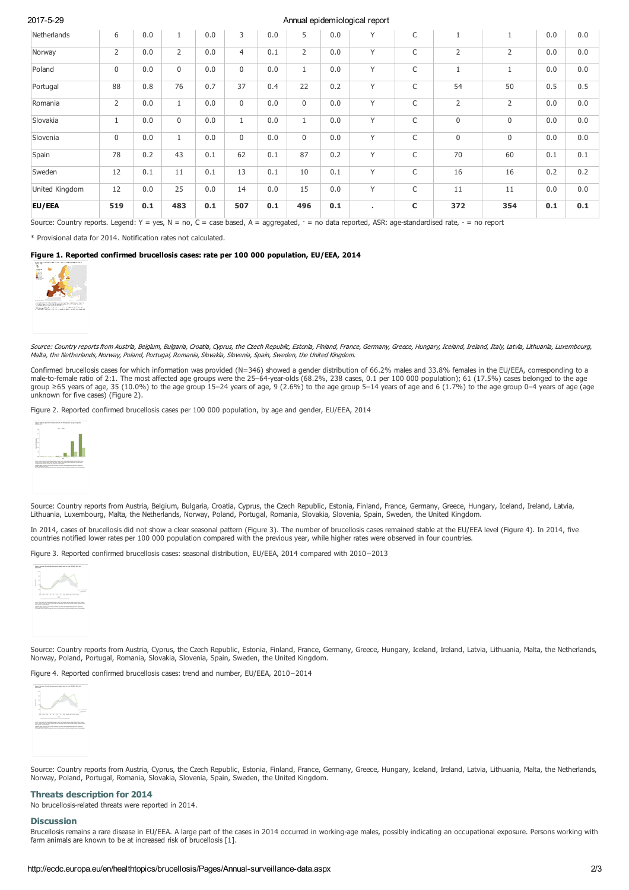## 2017529 Annual epidemiological report

| Netherlands    | 6              | 0.0 | $\mathbf{1}$   | 0.0 | 3              | 0.0 | 5                  | 0.0 | Y      | $\mathsf C$ | $\mathbf{1}$   |                | 0.0 | 0.0 |
|----------------|----------------|-----|----------------|-----|----------------|-----|--------------------|-----|--------|-------------|----------------|----------------|-----|-----|
| Norway         | $\overline{2}$ | 0.0 | $\overline{2}$ | 0.0 | $\overline{4}$ | 0.1 | $\overline{2}$     | 0.0 | Y      | C           | $\overline{2}$ | $\overline{2}$ | 0.0 | 0.0 |
| Poland         | $\mathbf 0$    | 0.0 | $\mathbf 0$    | 0.0 | $\mathbf 0$    | 0.0 | $\mathbf{A}$<br>Τ. | 0.0 | $\vee$ | $\mathsf C$ | $\mathbf{1}$   | $\overline{1}$ | 0.0 | 0.0 |
| Portugal       | 88             | 0.8 | 76             | 0.7 | 37             | 0.4 | 22                 | 0.2 | $\vee$ | $\mathsf C$ | 54             | 50             | 0.5 | 0.5 |
| Romania        | $\overline{2}$ | 0.0 | $1\,$          | 0.0 | $\mathbf 0$    | 0.0 | $\mathbf 0$        | 0.0 | Y      | C           | $\overline{2}$ | 2              | 0.0 | 0.0 |
| Slovakia       | $\mathbf{1}$   | 0.0 | $\mathbf{0}$   | 0.0 | $\mathbf{1}$   | 0.0 | $\mathbf{1}$       | 0.0 | Y      | $\mathsf C$ | 0              | $\mathbf 0$    | 0.0 | 0.0 |
| Slovenia       | $\mathbf 0$    | 0.0 | $\mathbf{1}$   | 0.0 | $\mathbf 0$    | 0.0 | $\mathbf 0$        | 0.0 | Y      | $\mathsf C$ | $\mathsf{0}$   | $\mathbf 0$    | 0.0 | 0.0 |
| Spain          | 78             | 0.2 | 43             | 0.1 | 62             | 0.1 | 87                 | 0.2 | Y      | C           | 70             | 60             | 0.1 | 0.1 |
| Sweden         | 12             | 0.1 | 11             | 0.1 | 13             | 0.1 | 10                 | 0.1 | Y      | C           | 16             | 16             | 0.2 | 0.2 |
| United Kingdom | 12             | 0.0 | 25             | 0.0 | 14             | 0.0 | 15                 | 0.0 | Y      | C           | 11             | 11             | 0.0 | 0.0 |
| EU/EEA         | 519            | 0.1 | 483            | 0.1 | 507            | 0.1 | 496                | 0.1 | ٠.     | C           | 372            | 354            | 0.1 | 0.1 |

Source: Country reports. Legend: Y = yes, N = no, C = case based, A = aggregated,  $\cdot$  = no data reported, ASR: age-standardised rate,  $\cdot$  = no report

\* Provisional data for 2014. Notification rates not calculated.

## Figure 1. Reported confirmed brucellosis cases: rate per 100 000 population, EU/EEA, 2014



Source: Country reports from Austria, Belgium, Bulgaria, Croatia, Cyprus, the Czech Republic, Estonia, Finland, France, Germany, Greece, Hungary, Iceland, Ireland, Italy, Latvia, Lithuania, Luxembourg, Malta, the Netherlands, Norway, Poland, Portugal, Romania, Slovakia, Slovenia, Spain, Sweden, the United Kingdom.

Confirmed brucellosis cases for which information was provided (N=346) showed a gender distribution of 66.2% males and 33.8% females in the EU/EEA, corresponding to a male-to-female ratio of 2:1. The most affected age groups were the 25–64-year-olds (68.2%, 238 cases, 0.1 per 100 000 population); 61 (17.5%) cases belonged to the age<br>group ≥65 years of age, 35 (10.0%) to the age group 1 unknown for five cases) (Figure 2).

Figure 2. Reported confirmed brucellosis cases per 100 000 population, by age and gender, EU/EEA, 2014



Source: Country reports from Austria, Belgium, Bulgaria, Croatia, Cyprus, the Czech Republic, Estonia, Finland, France, Germany, Greece, Hungary, Iceland, Ireland, Latvia, Lithuania, Luxembourg, Malta, the Netherlands, Norway, Poland, Portugal, Romania, Slovakia, Slovenia, Spain, Sweden, the United Kingdom.

In 2014, cases of brucellosis did not show a clear seasonal pattern (Figure 3). The number of brucellosis cases remained stable at the EU/EEA level (Figure 4). In 2014, five countries notified lower rates per 100 000 population compared with the previous year, while higher rates were observed in four countries.

Figure 3. Reported confirmed brucellosis cases: seasonal distribution, EU/EEA, 2014 compared with 2010−2013



Source: Country reports from Austria, Cyprus, the Czech Republic, Estonia, Finland, France, Germany, Greece, Hungary, Iceland, Ireland, Latvia, Lithuania, Malta, the Netherlands, Norway, Poland, Portugal, Romania, Slovakia, Slovenia, Spain, Sweden, the United Kingdom.

Figure 4. Reported confirmed brucellosis cases: trend and number, EU/EEA, 2010−2014



Source: Country reports from Austria, Cyprus, the Czech Republic, Estonia, Finland, France, Germany, Greece, Hungary, Iceland, Ireland, Latvia, Lithuania, Malta, the Netherlands, Norway, Poland, Portugal, Romania, Slovakia, Slovenia, Spain, Sweden, the United Kingdom.

## Threats description for 2014

No brucellosis-related threats were reported in 2014.

## **Discussion**

Brucellosis remains a rare disease in EU/EEA. A large part of the cases in 2014 occurred in working-age males, possibly indicating an occupational exposure. Persons working with farm animals are known to be at increased risk of brucellosis [1].